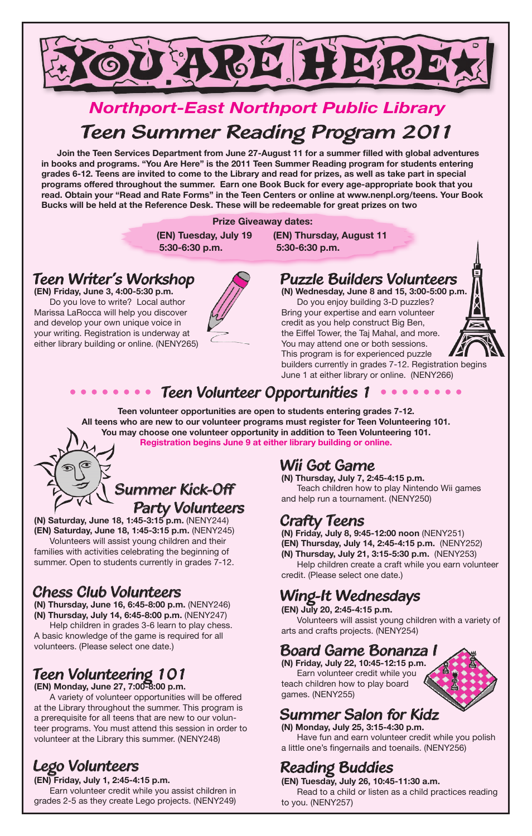

# *Northport-East Northport Public Library* Teen Summer Reading Program 2011

 **Join the Teen Services Department from June 27-August 11 for a summer filled with global adventures in books and programs. "You Are Here" is the 2011 Teen Summer Reading program for students entering grades 6-12. Teens are invited to come to the Library and read for prizes, as well as take part in special programs offered throughout the summer. Earn one Book Buck for every age-appropriate book that you read. Obtain your "Read and Rate Forms" in the Teen Centers or online at www.nenpl.org/teens. Your Book Bucks will be held at the Reference Desk. These will be redeemable for great prizes on two** 

#### **Prize Giveaway dates:**

 **5:30-6:30 p.m. 5:30-6:30 p.m.**

 **(EN) Tuesday, July 19 (EN) Thursday, August 11**

#### Teen Writer's Workshop

**(EN) Friday, June 3, 4:00-5:30 p.m.** Do you love to write? Local author Marissa LaRocca will help you discover and develop your own unique voice in your writing. Registration is underway at either library building or online. (NENY265)



# Puzzle Builders Volunteers

**(N) Wednesday, June 8 and 15, 3:00-5:00 p.m.** Do you enjoy building 3-D puzzles? Bring your expertise and earn volunteer credit as you help construct Big Ben, the Eiffel Tower, the Taj Mahal, and more. You may attend one or both sessions. This program is for experienced puzzle builders currently in grades 7-12. Registration begins June 1 at either library or online. (NENY266)



# •••••••• Teen Volunteer Opportunities 1 ••••••••

**Teen volunteer opportunities are open to students entering grades 7-12. All teens who are new to our volunteer programs must register for Teen Volunteering 101. You may choose one volunteer opportunity in addition to Teen Volunteering 101. Registration begins June 9 at either library building or online.**



**(N) Saturday, June 18, 1:45-3:15 p.m.** (NENY244) **(EN) Saturday, June 18, 1:45-3:15 p.m.** (NENY245) Volunteers will assist young children and their families with activities celebrating the beginning of summer. Open to students currently in grades 7-12.

#### Chess Club Volunteers

**(N) Thursday, June 16, 6:45-8:00 p.m.** (NENY246) **(N) Thursday, July 14, 6:45-8:00 p.m.** (NENY247)

Help children in grades 3-6 learn to play chess. A basic knowledge of the game is required for all volunteers. (Please select one date.)

# Teen Volunteering 101

**(EN) Monday, June 27, 7:00-8:00 p.m.**

A variety of volunteer opportunities will be offered at the Library throughout the summer. This program is a prerequisite for all teens that are new to our volunteer programs. You must attend this session in order to volunteer at the Library this summer. (NENY248)

### Lego Volunteers

**(EN) Friday, July 1, 2:45-4:15 p.m.** Earn volunteer credit while you assist children in grades 2-5 as they create Lego projects. (NENY249)

### Wii Got Game

**(N) Thursday, July 7, 2:45-4:15 p.m.** Teach children how to play Nintendo Wii games and help run a tournament. (NENY250)

#### Crafty Teens

**(N) Friday, July 8, 9:45-12:00 noon** (NENY251) **(EN) Thursday, July 14, 2:45-4:15 p.m.** (NENY252) **(N) Thursday, July 21, 3:15-5:30 p.m.** (NENY253) Help children create a craft while you earn volunteer

credit. (Please select one date.)

# Wing-It Wednesdays

**(EN) July 20, 2:45-4:15 p.m.** Volunteers will assist young children with a variety of arts and crafts projects. (NENY254)

#### Board Game Bonanza I

**(N) Friday, July 22, 10:45-12:15 p.m.** Earn volunteer credit while you teach children how to play board games. (NENY255)

#### Summer Salon for Kidz

**(N) Monday, July 25, 3:15-4:30 p.m.** Have fun and earn volunteer credit while you polish a little one's fingernails and toenails. (NENY256)

# Reading Buddies

**(EN) Tuesday, July 26, 10:45-11:30 a.m.**

Read to a child or listen as a child practices reading to you. (NENY257)